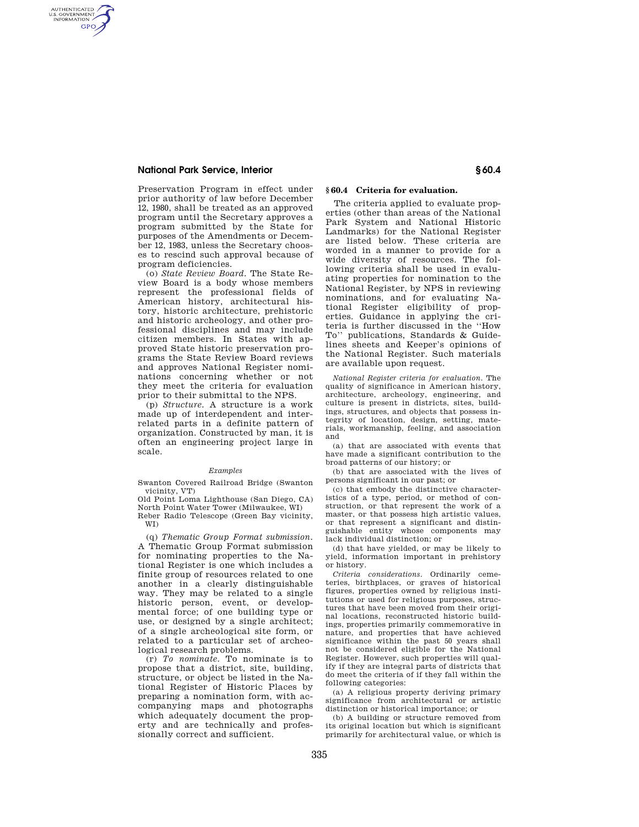### **National Park Service, Interior § 60.4**

AUTHENTICATED<br>U.S. GOVERNMENT<br>INFORMATION **GPO** 

> Preservation Program in effect under prior authority of law before December 12, 1980, shall be treated as an approved program until the Secretary approves a program submitted by the State for purposes of the Amendments or December 12, 1983, unless the Secretary chooses to rescind such approval because of program deficiencies.

> (o) *State Review Board.* The State Review Board is a body whose members represent the professional fields of American history, architectural history, historic architecture, prehistoric and historic archeology, and other professional disciplines and may include citizen members. In States with approved State historic preservation programs the State Review Board reviews and approves National Register nominations concerning whether or not they meet the criteria for evaluation prior to their submittal to the NPS.

> (p) *Structure.* A structure is a work made up of interdependent and interrelated parts in a definite pattern of organization. Constructed by man, it is often an engineering project large in scale.

#### *Examples*

Swanton Covered Railroad Bridge (Swanton

vicinity, VT) Old Point Loma Lighthouse (San Diego, CA) North Point Water Tower (Milwaukee, WI)

Reber Radio Telescope (Green Bay vicinity, WI)

(q) *Thematic Group Format submission.*  A Thematic Group Format submission for nominating properties to the National Register is one which includes a finite group of resources related to one another in a clearly distinguishable way. They may be related to a single historic person, event, or developmental force; of one building type or use, or designed by a single architect; of a single archeological site form, or related to a particular set of archeological research problems.

(r) *To nominate.* To nominate is to propose that a district, site, building, structure, or object be listed in the National Register of Historic Places by preparing a nomination form, with accompanying maps and photographs which adequately document the property and are technically and professionally correct and sufficient.

## **§ 60.4 Criteria for evaluation.**

The criteria applied to evaluate properties (other than areas of the National Park System and National Historic Landmarks) for the National Register are listed below. These criteria are worded in a manner to provide for a wide diversity of resources. The following criteria shall be used in evaluating properties for nomination to the National Register, by NPS in reviewing nominations, and for evaluating National Register eligibility of properties. Guidance in applying the criteria is further discussed in the ''How To'' publications, Standards & Guidelines sheets and Keeper's opinions of the National Register. Such materials are available upon request.

*National Register criteria for evaluation.* The quality of significance in American history, architecture, archeology, engineering, and culture is present in districts, sites, buildings, structures, and objects that possess integrity of location, design, setting, materials, workmanship, feeling, and association and

(a) that are associated with events that have made a significant contribution to the broad patterns of our history; or

(b) that are associated with the lives of persons significant in our past; or

(c) that embody the distinctive characteristics of a type, period, or method of construction, or that represent the work of a master, or that possess high artistic values, or that represent a significant and distinguishable entity whose components may lack individual distinction; or

(d) that have yielded, or may be likely to yield, information important in prehistory or history.

*Criteria considerations.* Ordinarily cemeteries, birthplaces, or graves of historical figures, properties owned by religious institutions or used for religious purposes, structures that have been moved from their original locations, reconstructed historic buildings, properties primarily commemorative in nature, and properties that have achieved significance within the past 50 years shall not be considered eligible for the National Register. However, such properties will qualify if they are integral parts of districts that do meet the criteria of if they fall within the following categories:

(a) A religious property deriving primary significance from architectural or artistic distinction or historical importance; or

(b) A building or structure removed from its original location but which is significant primarily for architectural value, or which is